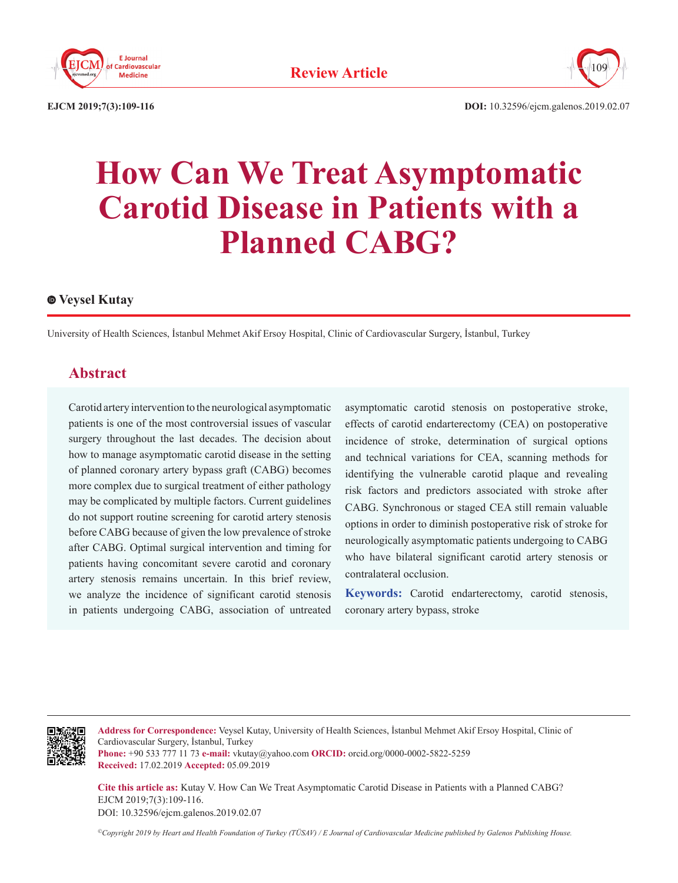



109

# **How Can We Treat Asymptomatic Carotid Disease in Patients with a Planned CABG?**

#### **Veysel Kutay**

University of Health Sciences, İstanbul Mehmet Akif Ersoy Hospital, Clinic of Cardiovascular Surgery, İstanbul, Turkey

### **Abstract**

Carotid artery intervention to the neurological asymptomatic patients is one of the most controversial issues of vascular surgery throughout the last decades. The decision about how to manage asymptomatic carotid disease in the setting of planned coronary artery bypass graft (CABG) becomes more complex due to surgical treatment of either pathology may be complicated by multiple factors. Current guidelines do not support routine screening for carotid artery stenosis before CABG because of given the low prevalence of stroke after CABG. Optimal surgical intervention and timing for patients having concomitant severe carotid and coronary artery stenosis remains uncertain. In this brief review, we analyze the incidence of significant carotid stenosis in patients undergoing CABG, association of untreated

asymptomatic carotid stenosis on postoperative stroke, effects of carotid endarterectomy (CEA) on postoperative incidence of stroke, determination of surgical options and technical variations for CEA, scanning methods for identifying the vulnerable carotid plaque and revealing risk factors and predictors associated with stroke after CABG. Synchronous or staged CEA still remain valuable options in order to diminish postoperative risk of stroke for neurologically asymptomatic patients undergoing to CABG who have bilateral significant carotid artery stenosis or contralateral occlusion.

**Keywords:** Carotid endarterectomy, carotid stenosis, coronary artery bypass, stroke



**Address for Correspondence:** Veysel Kutay, University of Health Sciences, İstanbul Mehmet Akif Ersoy Hospital, Clinic of Cardiovascular Surgery, İstanbul, Turkey

**Phone:** +90 533 777 11 73 **e-mail:** vkutay@yahoo.com **ORCID:** orcid.org/0000-0002-5822-5259 **Received:** 17.02.2019 **Accepted:** 05.09.2019

**Cite this article as:** Kutay V. How Can We Treat Asymptomatic Carotid Disease in Patients with a Planned CABG? EJCM 2019;7(3):109-116. DOI: 10.32596/ejcm.galenos.2019.02.07

*©Copyright 2019 by Heart and Health Foundation of Turkey (TÜSAV) / E Journal of Cardiovascular Medicine published by Galenos Publishing House.*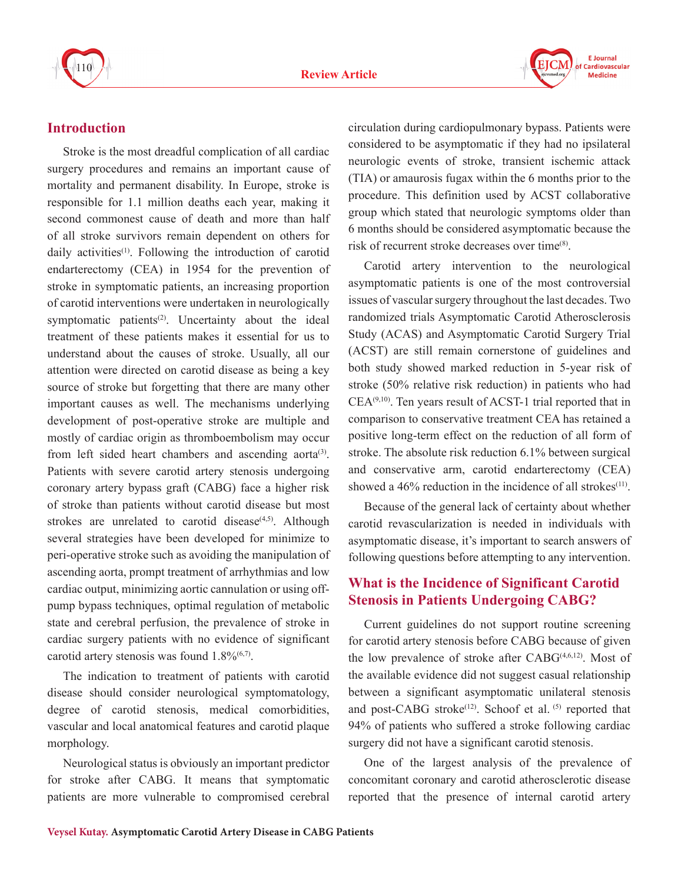



### **Introduction**

Stroke is the most dreadful complication of all cardiac surgery procedures and remains an important cause of mortality and permanent disability. In Europe, stroke is responsible for 1.1 million deaths each year, making it second commonest cause of death and more than half of all stroke survivors remain dependent on others for daily activities<sup>(1)</sup>. Following the introduction of carotid endarterectomy (CEA) in 1954 for the prevention of stroke in symptomatic patients, an increasing proportion of carotid interventions were undertaken in neurologically symptomatic patients<sup> $(2)$ </sup>. Uncertainty about the ideal treatment of these patients makes it essential for us to understand about the causes of stroke. Usually, all our attention were directed on carotid disease as being a key source of stroke but forgetting that there are many other important causes as well. The mechanisms underlying development of post-operative stroke are multiple and mostly of cardiac origin as thromboembolism may occur from left sided heart chambers and ascending aorta<sup>(3)</sup>. Patients with severe carotid artery stenosis undergoing coronary artery bypass graft (CABG) face a higher risk of stroke than patients without carotid disease but most strokes are unrelated to carotid disease $(4,5)$ . Although several strategies have been developed for minimize to peri-operative stroke such as avoiding the manipulation of ascending aorta, prompt treatment of arrhythmias and low cardiac output, minimizing aortic cannulation or using offpump bypass techniques, optimal regulation of metabolic state and cerebral perfusion, the prevalence of stroke in cardiac surgery patients with no evidence of significant carotid artery stenosis was found  $1.8\%/67$ .

The indication to treatment of patients with carotid disease should consider neurological symptomatology, degree of carotid stenosis, medical comorbidities, vascular and local anatomical features and carotid plaque morphology.

Neurological status is obviously an important predictor for stroke after CABG. It means that symptomatic patients are more vulnerable to compromised cerebral circulation during cardiopulmonary bypass. Patients were considered to be asymptomatic if they had no ipsilateral neurologic events of stroke, transient ischemic attack (TIA) or amaurosis fugax within the 6 months prior to the procedure. This definition used by ACST collaborative group which stated that neurologic symptoms older than 6 months should be considered asymptomatic because the risk of recurrent stroke decreases over time<sup>(8)</sup>.

Carotid artery intervention to the neurological asymptomatic patients is one of the most controversial issues of vascular surgery throughout the last decades. Two randomized trials Asymptomatic Carotid Atherosclerosis Study (ACAS) and Asymptomatic Carotid Surgery Trial (ACST) are still remain cornerstone of guidelines and both study showed marked reduction in 5-year risk of stroke (50% relative risk reduction) in patients who had  $CEA<sup>(9,10)</sup>$ . Ten years result of ACST-1 trial reported that in comparison to conservative treatment CEA has retained a positive long-term effect on the reduction of all form of stroke. The absolute risk reduction 6.1% between surgical and conservative arm, carotid endarterectomy (CEA) showed a  $46\%$  reduction in the incidence of all strokes<sup>(11)</sup>.

Because of the general lack of certainty about whether carotid revascularization is needed in individuals with asymptomatic disease, it's important to search answers of following questions before attempting to any intervention.

## **What is the Incidence of Significant Carotid Stenosis in Patients Undergoing CABG?**

Current guidelines do not support routine screening for carotid artery stenosis before CABG because of given the low prevalence of stroke after CABG<sup>(4,6,12)</sup>. Most of the available evidence did not suggest casual relationship between a significant asymptomatic unilateral stenosis and post-CABG stroke<sup>(12)</sup>. Schoof et al. <sup>(5)</sup> reported that 94% of patients who suffered a stroke following cardiac surgery did not have a significant carotid stenosis.

One of the largest analysis of the prevalence of concomitant coronary and carotid atherosclerotic disease reported that the presence of internal carotid artery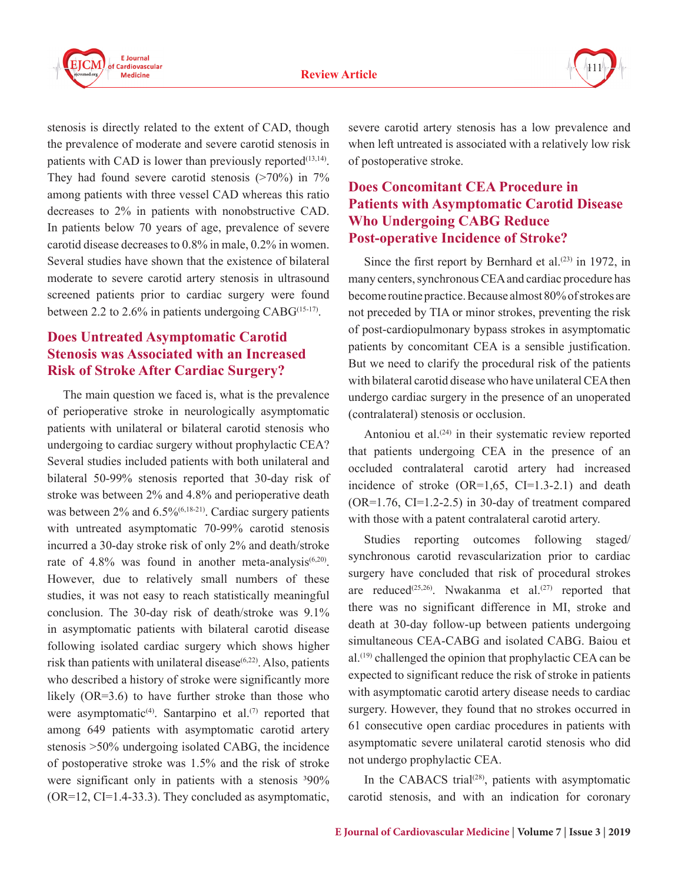



stenosis is directly related to the extent of CAD, though the prevalence of moderate and severe carotid stenosis in patients with CAD is lower than previously reported $(13,14)$ . They had found severe carotid stenosis  $(270\%)$  in 7% among patients with three vessel CAD whereas this ratio decreases to 2% in patients with nonobstructive CAD. In patients below 70 years of age, prevalence of severe carotid disease decreases to 0.8% in male, 0.2% in women. Several studies have shown that the existence of bilateral moderate to severe carotid artery stenosis in ultrasound screened patients prior to cardiac surgery were found between 2.2 to 2.6% in patients undergoing  $CABG^{(15-17)}$ .

## **Does Untreated Asymptomatic Carotid Stenosis was Associated with an Increased Risk of Stroke After Cardiac Surgery?**

The main question we faced is, what is the prevalence of perioperative stroke in neurologically asymptomatic patients with unilateral or bilateral carotid stenosis who undergoing to cardiac surgery without prophylactic CEA? Several studies included patients with both unilateral and bilateral 50-99% stenosis reported that 30-day risk of stroke was between 2% and 4.8% and perioperative death was between 2% and 6.5%<sup>(6,18-21)</sup>. Cardiac surgery patients with untreated asymptomatic 70-99% carotid stenosis incurred a 30-day stroke risk of only 2% and death/stroke rate of  $4.8\%$  was found in another meta-analysis<sup>(6,20)</sup>. However, due to relatively small numbers of these studies, it was not easy to reach statistically meaningful conclusion. The 30-day risk of death/stroke was 9.1% in asymptomatic patients with bilateral carotid disease following isolated cardiac surgery which shows higher risk than patients with unilateral disease $(6,22)$ . Also, patients who described a history of stroke were significantly more likely (OR=3.6) to have further stroke than those who were asymptomatic<sup>(4)</sup>. Santarpino et al.<sup>(7)</sup> reported that among 649 patients with asymptomatic carotid artery stenosis >50% undergoing isolated CABG, the incidence of postoperative stroke was 1.5% and the risk of stroke were significant only in patients with a stenosis  $390\%$ (OR=12, CI=1.4-33.3). They concluded as asymptomatic,

severe carotid artery stenosis has a low prevalence and when left untreated is associated with a relatively low risk of postoperative stroke.

## **Does Concomitant CEA Procedure in Patients with Asymptomatic Carotid Disease Who Undergoing CABG Reduce Post-operative Incidence of Stroke?**

Since the first report by Bernhard et al. $(23)$  in 1972, in many centers, synchronous CEA and cardiac procedure has become routine practice. Because almost 80% of strokes are not preceded by TIA or minor strokes, preventing the risk of post-cardiopulmonary bypass strokes in asymptomatic patients by concomitant CEA is a sensible justification. But we need to clarify the procedural risk of the patients with bilateral carotid disease who have unilateral CEA then undergo cardiac surgery in the presence of an unoperated (contralateral) stenosis or occlusion.

Antoniou et al.<sup>(24)</sup> in their systematic review reported that patients undergoing CEA in the presence of an occluded contralateral carotid artery had increased incidence of stroke  $(OR=1, 65, CI=1.3-2.1)$  and death  $(OR=1.76, CI=1.2-2.5)$  in 30-day of treatment compared with those with a patent contralateral carotid artery.

Studies reporting outcomes following staged/ synchronous carotid revascularization prior to cardiac surgery have concluded that risk of procedural strokes are reduced<sup>(25,26)</sup>. Nwakanma et al.<sup>(27)</sup> reported that there was no significant difference in MI, stroke and death at 30-day follow-up between patients undergoing simultaneous CEA-CABG and isolated CABG. Baiou et al.(19) challenged the opinion that prophylactic CEA can be expected to significant reduce the risk of stroke in patients with asymptomatic carotid artery disease needs to cardiac surgery. However, they found that no strokes occurred in 61 consecutive open cardiac procedures in patients with asymptomatic severe unilateral carotid stenosis who did not undergo prophylactic CEA.

In the CABACS trial<sup> $(28)$ </sup>, patients with asymptomatic carotid stenosis, and with an indication for coronary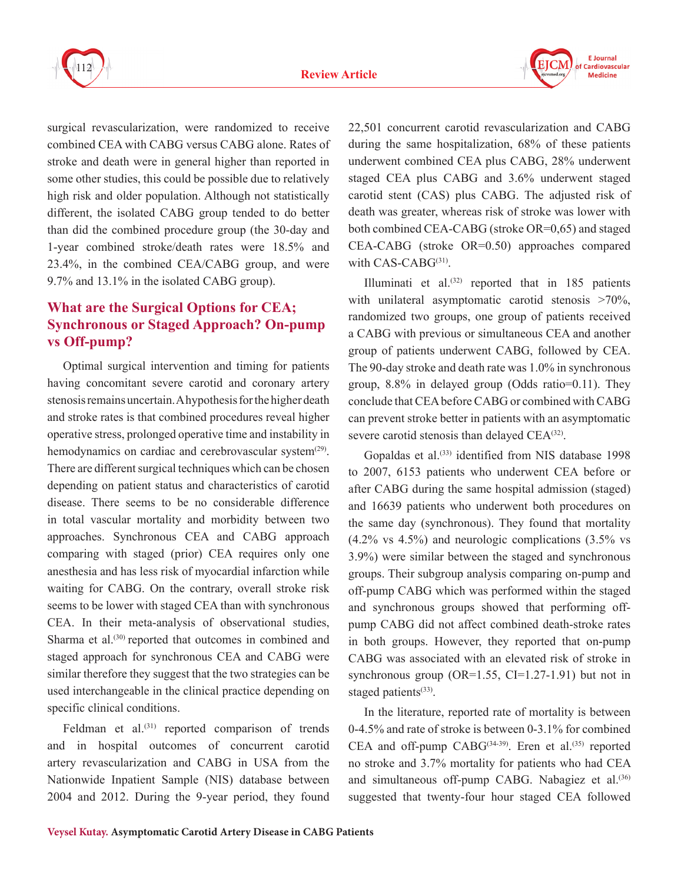



surgical revascularization, were randomized to receive combined CEA with CABG versus CABG alone. Rates of stroke and death were in general higher than reported in some other studies, this could be possible due to relatively high risk and older population. Although not statistically different, the isolated CABG group tended to do better than did the combined procedure group (the 30-day and 1-year combined stroke/death rates were 18.5% and 23.4%, in the combined CEA/CABG group, and were 9.7% and 13.1% in the isolated CABG group).

# **What are the Surgical Options for CEA; Synchronous or Staged Approach? On-pump vs Off-pump?**

Optimal surgical intervention and timing for patients having concomitant severe carotid and coronary artery stenosis remains uncertain. A hypothesis for the higher death and stroke rates is that combined procedures reveal higher operative stress, prolonged operative time and instability in hemodynamics on cardiac and cerebrovascular system<sup>(29)</sup>. There are different surgical techniques which can be chosen depending on patient status and characteristics of carotid disease. There seems to be no considerable difference in total vascular mortality and morbidity between two approaches. Synchronous CEA and CABG approach comparing with staged (prior) CEA requires only one anesthesia and has less risk of myocardial infarction while waiting for CABG. On the contrary, overall stroke risk seems to be lower with staged CEA than with synchronous CEA. In their meta-analysis of observational studies, Sharma et al.<sup>(30)</sup> reported that outcomes in combined and staged approach for synchronous CEA and CABG were similar therefore they suggest that the two strategies can be used interchangeable in the clinical practice depending on specific clinical conditions.

Feldman et  $al^{(31)}$  reported comparison of trends and in hospital outcomes of concurrent carotid artery revascularization and CABG in USA from the Nationwide Inpatient Sample (NIS) database between 2004 and 2012. During the 9-year period, they found

22,501 concurrent carotid revascularization and CABG during the same hospitalization, 68% of these patients underwent combined CEA plus CABG, 28% underwent staged CEA plus CABG and 3.6% underwent staged carotid stent (CAS) plus CABG. The adjusted risk of death was greater, whereas risk of stroke was lower with both combined CEA-CABG (stroke OR=0,65) and staged CEA-CABG (stroke OR=0.50) approaches compared with  $CAS-CABG^{(31)}$ .

Illuminati et al.(32) reported that in 185 patients with unilateral asymptomatic carotid stenosis >70%, randomized two groups, one group of patients received a CABG with previous or simultaneous CEA and another group of patients underwent CABG, followed by CEA. The 90-day stroke and death rate was 1.0% in synchronous group, 8.8% in delayed group (Odds ratio=0.11). They conclude that CEA before CABG or combined with CABG can prevent stroke better in patients with an asymptomatic severe carotid stenosis than delayed CEA<sup>(32)</sup>.

Gopaldas et al.<sup>(33)</sup> identified from NIS database 1998 to 2007, 6153 patients who underwent CEA before or after CABG during the same hospital admission (staged) and 16639 patients who underwent both procedures on the same day (synchronous). They found that mortality (4.2% vs 4.5%) and neurologic complications (3.5% vs 3.9%) were similar between the staged and synchronous groups. Their subgroup analysis comparing on-pump and off-pump CABG which was performed within the staged and synchronous groups showed that performing offpump CABG did not affect combined death-stroke rates in both groups. However, they reported that on-pump CABG was associated with an elevated risk of stroke in synchronous group  $(OR=1.55, CI=1.27-1.91)$  but not in staged patients $(33)$ .

In the literature, reported rate of mortality is between 0-4.5% and rate of stroke is between 0-3.1% for combined CEA and off-pump CABG<sup>(34-39)</sup>. Eren et al.<sup>(35)</sup> reported no stroke and 3.7% mortality for patients who had CEA and simultaneous off-pump CABG. Nabagiez et al.<sup>(36)</sup> suggested that twenty-four hour staged CEA followed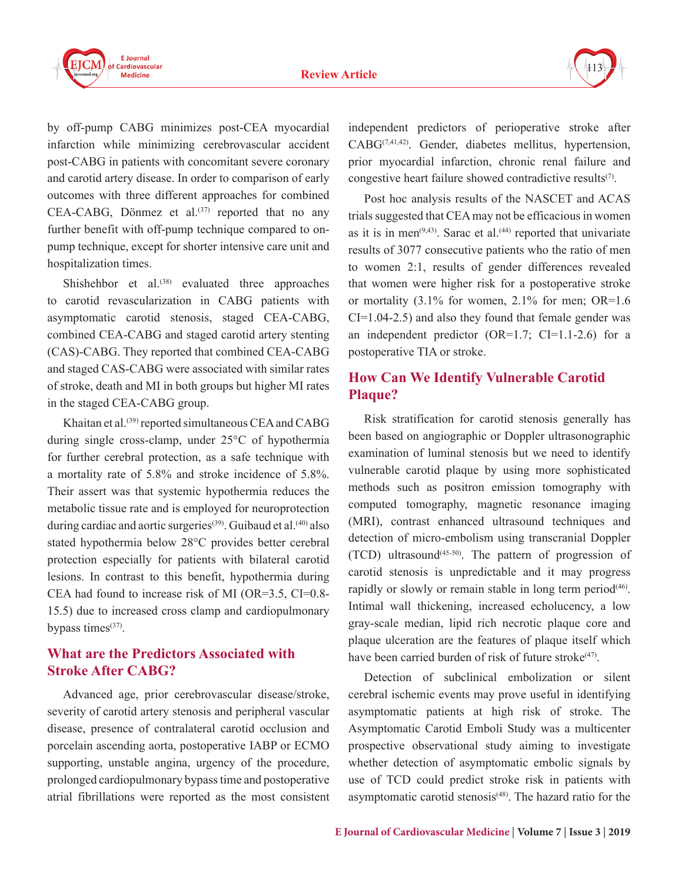#### **Review Article**



by off-pump CABG minimizes post-CEA myocardial infarction while minimizing cerebrovascular accident post-CABG in patients with concomitant severe coronary and carotid artery disease. In order to comparison of early outcomes with three different approaches for combined  $CEA-CABG$ , Dönmez et al.<sup>(37)</sup> reported that no any further benefit with off-pump technique compared to onpump technique, except for shorter intensive care unit and hospitalization times.

Shishehbor et al. $^{(38)}$  evaluated three approaches to carotid revascularization in CABG patients with asymptomatic carotid stenosis, staged CEA-CABG, combined CEA-CABG and staged carotid artery stenting (CAS)-CABG. They reported that combined CEA-CABG and staged CAS-CABG were associated with similar rates of stroke, death and MI in both groups but higher MI rates in the staged CEA-CABG group.

Khaitan et al.(39) reported simultaneous CEA and CABG during single cross-clamp, under 25°C of hypothermia for further cerebral protection, as a safe technique with a mortality rate of 5.8% and stroke incidence of 5.8%. Their assert was that systemic hypothermia reduces the metabolic tissue rate and is employed for neuroprotection during cardiac and aortic surgeries<sup>(39)</sup>. Guibaud et al.<sup>(40)</sup> also stated hypothermia below 28°C provides better cerebral protection especially for patients with bilateral carotid lesions. In contrast to this benefit, hypothermia during CEA had found to increase risk of MI (OR=3.5, CI=0.8- 15.5) due to increased cross clamp and cardiopulmonary bypass times $(37)$ .

## **What are the Predictors Associated with Stroke After CABG?**

Advanced age, prior cerebrovascular disease/stroke, severity of carotid artery stenosis and peripheral vascular disease, presence of contralateral carotid occlusion and porcelain ascending aorta, postoperative IABP or ECMO supporting, unstable angina, urgency of the procedure, prolonged cardiopulmonary bypass time and postoperative atrial fibrillations were reported as the most consistent

independent predictors of perioperative stroke after CABG(7,41,42). Gender, diabetes mellitus, hypertension, prior myocardial infarction, chronic renal failure and congestive heart failure showed contradictive results(7).

Post hoc analysis results of the NASCET and ACAS trials suggested that CEA may not be efficacious in women as it is in men<sup> $(9,43)$ </sup>. Sarac et al.<sup> $(44)$ </sup> reported that univariate results of 3077 consecutive patients who the ratio of men to women 2:1, results of gender differences revealed that women were higher risk for a postoperative stroke or mortality (3.1% for women, 2.1% for men; OR=1.6  $CI=1.04-2.5$ ) and also they found that female gender was an independent predictor  $(OR=1.7; CI=1.1-2.6)$  for a postoperative TIA or stroke.

## **How Can We Identify Vulnerable Carotid Plaque?**

Risk stratification for carotid stenosis generally has been based on angiographic or Doppler ultrasonographic examination of luminal stenosis but we need to identify vulnerable carotid plaque by using more sophisticated methods such as positron emission tomography with computed tomography, magnetic resonance imaging (MRI), contrast enhanced ultrasound techniques and detection of micro-embolism using transcranial Doppler  $(TCD)$  ultrasound<sup> $(45-50)$ </sup>. The pattern of progression of carotid stenosis is unpredictable and it may progress rapidly or slowly or remain stable in long term period<sup>(46)</sup>. Intimal wall thickening, increased echolucency, a low gray-scale median, lipid rich necrotic plaque core and plaque ulceration are the features of plaque itself which have been carried burden of risk of future stroke $(47)$ .

Detection of subclinical embolization or silent cerebral ischemic events may prove useful in identifying asymptomatic patients at high risk of stroke. The Asymptomatic Carotid Emboli Study was a multicenter prospective observational study aiming to investigate whether detection of asymptomatic embolic signals by use of TCD could predict stroke risk in patients with asymptomatic carotid stenosis<sup>(48)</sup>. The hazard ratio for the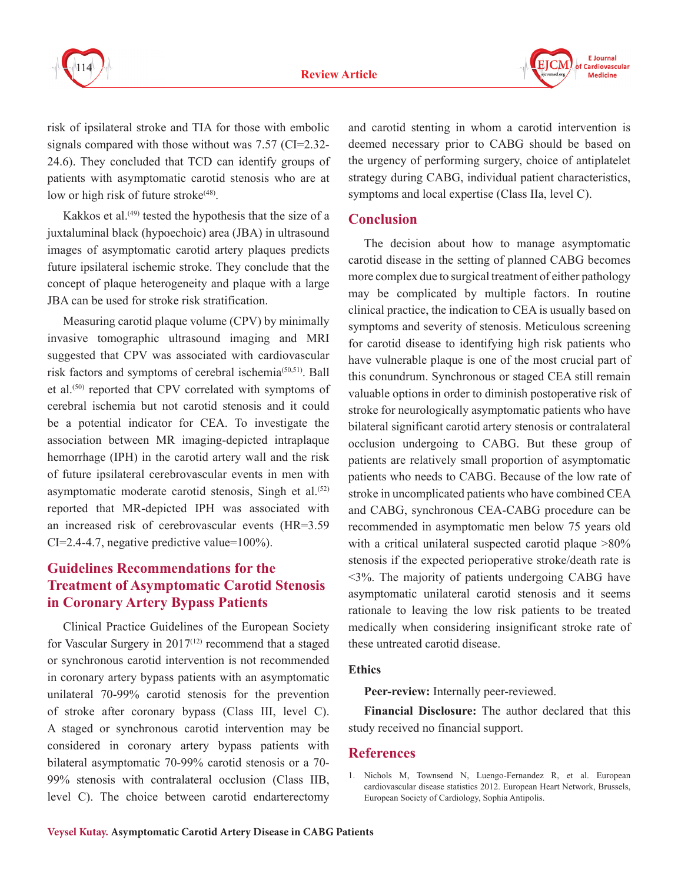

**F** Journal Cardiovascular **Medicine** 

risk of ipsilateral stroke and TIA for those with embolic signals compared with those without was 7.57 (CI=2.32-24.6). They concluded that TCD can identify groups of patients with asymptomatic carotid stenosis who are at low or high risk of future stroke<sup>(48)</sup>.

Kakkos et al.<sup>(49)</sup> tested the hypothesis that the size of a juxtaluminal black (hypoechoic) area (JBA) in ultrasound images of asymptomatic carotid artery plaques predicts future ipsilateral ischemic stroke. They conclude that the concept of plaque heterogeneity and plaque with a large JBA can be used for stroke risk stratification.

Measuring carotid plaque volume (CPV) by minimally invasive tomographic ultrasound imaging and MRI suggested that CPV was associated with cardiovascular risk factors and symptoms of cerebral ischemia(50,51). Ball et al.<sup>(50)</sup> reported that CPV correlated with symptoms of cerebral ischemia but not carotid stenosis and it could be a potential indicator for CEA. To investigate the association between MR imaging-depicted intraplaque hemorrhage (IPH) in the carotid artery wall and the risk of future ipsilateral cerebrovascular events in men with asymptomatic moderate carotid stenosis, Singh et al. $(52)$ reported that MR-depicted IPH was associated with an increased risk of cerebrovascular events (HR=3.59 CI=2.4-4.7, negative predictive value=100%).

## **Guidelines Recommendations for the Treatment of Asymptomatic Carotid Stenosis in Coronary Artery Bypass Patients**

Clinical Practice Guidelines of the European Society for Vascular Surgery in  $2017^{(12)}$  recommend that a staged or synchronous carotid intervention is not recommended in coronary artery bypass patients with an asymptomatic unilateral 70-99% carotid stenosis for the prevention of stroke after coronary bypass (Class III, level C). A staged or synchronous carotid intervention may be considered in coronary artery bypass patients with bilateral asymptomatic 70-99% carotid stenosis or a 70- 99% stenosis with contralateral occlusion (Class IIB, level C). The choice between carotid endarterectomy and carotid stenting in whom a carotid intervention is deemed necessary prior to CABG should be based on the urgency of performing surgery, choice of antiplatelet strategy during CABG, individual patient characteristics, symptoms and local expertise (Class IIa, level C).

#### **Conclusion**

The decision about how to manage asymptomatic carotid disease in the setting of planned CABG becomes more complex due to surgical treatment of either pathology may be complicated by multiple factors. In routine clinical practice, the indication to CEA is usually based on symptoms and severity of stenosis. Meticulous screening for carotid disease to identifying high risk patients who have vulnerable plaque is one of the most crucial part of this conundrum. Synchronous or staged CEA still remain valuable options in order to diminish postoperative risk of stroke for neurologically asymptomatic patients who have bilateral significant carotid artery stenosis or contralateral occlusion undergoing to CABG. But these group of patients are relatively small proportion of asymptomatic patients who needs to CABG. Because of the low rate of stroke in uncomplicated patients who have combined CEA and CABG, synchronous CEA-CABG procedure can be recommended in asymptomatic men below 75 years old with a critical unilateral suspected carotid plaque  $>80\%$ stenosis if the expected perioperative stroke/death rate is <3%. The majority of patients undergoing CABG have asymptomatic unilateral carotid stenosis and it seems rationale to leaving the low risk patients to be treated medically when considering insignificant stroke rate of these untreated carotid disease.

#### **Ethics**

**Peer-review:** Internally peer-reviewed.

**Financial Disclosure:** The author declared that this study received no financial support.

## **References**

1. Nichols M, Townsend N, Luengo-Fernandez R, et al. European cardiovascular disease statistics 2012. European Heart Network, Brussels, European Society of Cardiology, Sophia Antipolis.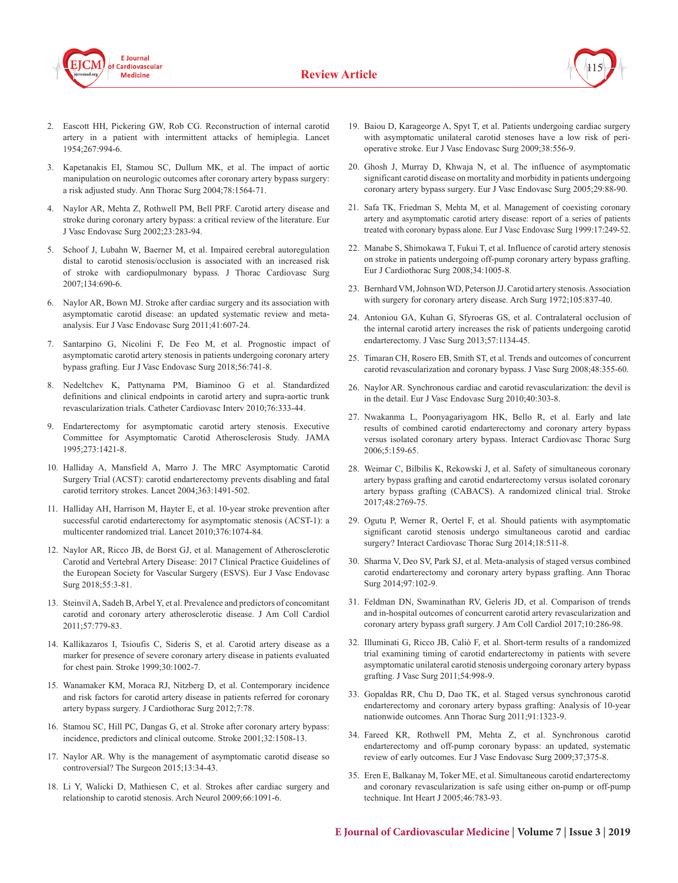





- 2. Eascott HH, Pickering GW, Rob CG. Reconstruction of internal carotid artery in a patient with intermittent attacks of hemiplegia. Lancet 1954;267:994-6.
- 3. Kapetanakis EI, Stamou SC, Dullum MK, et al. The impact of aortic manipulation on neurologic outcomes after coronary artery bypass surgery: a risk adjusted study. Ann Thorac Surg 2004;78:1564-71.
- 4. Naylor AR, Mehta Z, Rothwell PM, Bell PRF. Carotid artery disease and stroke during coronary artery bypass: a critical review of the literature. Eur J Vasc Endovasc Surg 2002;23:283-94.
- 5. Schoof J, Lubahn W, Baerner M, et al. Impaired cerebral autoregulation distal to carotid stenosis/occlusion is associated with an increased risk of stroke with cardiopulmonary bypass. J Thorac Cardiovasc Surg 2007;134:690-6.
- 6. Naylor AR, Bown MJ. Stroke after cardiac surgery and its association with asymptomatic carotid disease: an updated systematic review and metaanalysis. Eur J Vasc Endovasc Surg 2011;41:607-24.
- 7. Santarpino G, Nicolini F, De Feo M, et al. Prognostic impact of asymptomatic carotid artery stenosis in patients undergoing coronary artery bypass grafting. Eur J Vasc Endovasc Surg 2018;56:741-8.
- 8. Nedeltchev K, Pattynama PM, Biaminoo G et al. Standardized definitions and clinical endpoints in carotid artery and supra-aortic trunk revascularization trials. Catheter Cardiovasc Interv 2010;76:333-44.
- 9. Endarterectomy for asymptomatic carotid artery stenosis. Executive Committee for Asymptomatic Carotid Atherosclerosis Study. JAMA 1995;273:1421-8.
- 10. Halliday A, Mansfield A, Marro J. The MRC Asymptomatic Carotid Surgery Trial (ACST): carotid endarterectomy prevents disabling and fatal carotid territory strokes. Lancet 2004;363:1491-502.
- 11. Halliday AH, Harrison M, Hayter E, et al. 10-year stroke prevention after successful carotid endarterectomy for asymptomatic stenosis (ACST-1): a multicenter randomized trial. Lancet 2010;376:1074-84.
- 12. Naylor AR, Ricco JB, de Borst GJ, et al. Management of Atherosclerotic Carotid and Vertebral Artery Disease: 2017 Clinical Practice Guidelines of the European Society for Vascular Surgery (ESVS). Eur J Vasc Endovasc Surg 2018;55:3-81.
- 13. Steinvil A, Sadeh B, Arbel Y, et al. Prevalence and predictors of concomitant carotid and coronary artery atherosclerotic disease. J Am Coll Cardiol 2011;57:779-83.
- 14. Kallikazaros I, Tsioufis C, Sideris S, et al. Carotid artery disease as a marker for presence of severe coronary artery disease in patients evaluated for chest pain. Stroke 1999;30:1002-7.
- 15. Wanamaker KM, Moraca RJ, Nitzberg D, et al. Contemporary incidence and risk factors for carotid artery disease in patients referred for coronary artery bypass surgery. J Cardiothorac Surg 2012;7:78.
- 16. Stamou SC, Hill PC, Dangas G, et al. Stroke after coronary artery bypass: incidence, predictors and clinical outcome. Stroke 2001;32:1508-13.
- 17. Naylor AR. Why is the management of asymptomatic carotid disease so controversial? The Surgeon 2015;13:34-43.
- 18. Li Y, Walicki D, Mathiesen C, et al. Strokes after cardiac surgery and relationship to carotid stenosis. Arch Neurol 2009;66:1091-6.
- 19. Baiou D, Karageorge A, Spyt T, et al. Patients undergoing cardiac surgery with asymptomatic unilateral carotid stenoses have a low risk of perioperative stroke. Eur J Vasc Endovasc Surg 2009;38:556-9.
- 20. Ghosh J, Murray D, Khwaja N, et al. The influence of asymptomatic significant carotid disease on mortality and morbidity in patients undergoing coronary artery bypass surgery. Eur J Vasc Endovasc Surg 2005;29:88-90.
- 21. Safa TK, Friedman S, Mehta M, et al. Management of coexisting coronary artery and asymptomatic carotid artery disease: report of a series of patients treated with coronary bypass alone. Eur J Vasc Endovasc Surg 1999:17:249-52.
- 22. Manabe S, Shimokawa T, Fukui T, et al. Influence of carotid artery stenosis on stroke in patients undergoing off-pump coronary artery bypass grafting. Eur J Cardiothorac Surg 2008;34:1005-8.
- 23. Bernhard VM, Johnson WD, Peterson JJ. Carotid artery stenosis. Association with surgery for coronary artery disease. Arch Surg 1972;105:837-40.
- 24. Antoniou GA, Kuhan G, Sfyroeras GS, et al. Contralateral occlusion of the internal carotid artery increases the risk of patients undergoing carotid endarterectomy. J Vasc Surg 2013;57:1134-45.
- 25. Timaran CH, Rosero EB, Smith ST, et al. Trends and outcomes of concurrent carotid revascularization and coronary bypass. J Vasc Surg 2008;48:355-60.
- 26. Naylor AR. Synchronous cardiac and carotid revascularization: the devil is in the detail. Eur J Vasc Endovasc Surg 2010;40:303-8.
- 27. Nwakanma L, Poonyagariyagom HK, Bello R, et al. Early and late results of combined carotid endarterectomy and coronary artery bypass versus isolated coronary artery bypass. Interact Cardiovasc Thorac Surg 2006;5:159-65.
- 28. Weimar C, Bilbilis K, Rekowski J, et al. Safety of simultaneous coronary artery bypass grafting and carotid endarterectomy versus isolated coronary artery bypass grafting (CABACS). A randomized clinical trial. Stroke 2017;48:2769-75.
- 29. Ogutu P, Werner R, Oertel F, et al. Should patients with asymptomatic significant carotid stenosis undergo simultaneous carotid and cardiac surgery? Interact Cardiovasc Thorac Surg 2014;18:511-8.
- 30. Sharma V, Deo SV, Park SJ, et al. Meta-analysis of staged versus combined carotid endarterectomy and coronary artery bypass grafting. Ann Thorac Surg 2014;97:102-9.
- 31. Feldman DN, Swaminathan RV, Geleris JD, et al. Comparison of trends and in-hospital outcomes of concurrent carotid artery revascularization and coronary artery bypass graft surgery. J Am Coll Cardiol 2017;10:286-98.
- 32. Illuminati G, Ricco JB, Caliò F, et al. Short-term results of a randomized trial examining timing of carotid endarterectomy in patients with severe asymptomatic unilateral carotid stenosis undergoing coronary artery bypass grafting. J Vasc Surg 2011;54:998-9.
- 33. Gopaldas RR, Chu D, Dao TK, et al. Staged versus synchronous carotid endarterectomy and coronary artery bypass grafting: Analysis of 10-year nationwide outcomes. Ann Thorac Surg 2011;91:1323-9.
- 34. Fareed KR, Rothwell PM, Mehta Z, et al. Synchronous carotid endarterectomy and off-pump coronary bypass: an updated, systematic review of early outcomes. Eur J Vasc Endovasc Surg 2009;37;375-8.
- 35. Eren E, Balkanay M, Toker ME, et al. Simultaneous carotid endarterectomy and coronary revascularization is safe using either on-pump or off-pump technique. Int Heart J 2005;46:783-93.